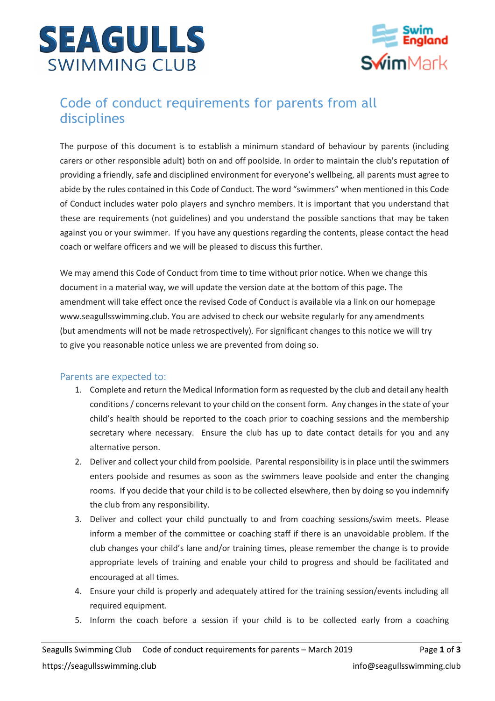



# Code of conduct requirements for parents from all disciplines

The purpose of this document is to establish a minimum standard of behaviour by parents (including carers or other responsible adult) both on and off poolside. In order to maintain the club's reputation of providing a friendly, safe and disciplined environment for everyone's wellbeing, all parents must agree to abide by the rules contained in this Code of Conduct. The word "swimmers" when mentioned in this Code of Conduct includes water polo players and synchro members. It is important that you understand that these are requirements (not guidelines) and you understand the possible sanctions that may be taken against you or your swimmer. If you have any questions regarding the contents, please contact the head coach or welfare officers and we will be pleased to discuss this further.

We may amend this Code of Conduct from time to time without prior notice. When we change this document in a material way, we will update the version date at the bottom of this page. The amendment will take effect once the revised Code of Conduct is available via a link on our homepage www.seagullsswimming.club. You are advised to check our website regularly for any amendments (but amendments will not be made retrospectively). For significant changes to this notice we will try to give you reasonable notice unless we are prevented from doing so.

### Parents are expected to:

- 1. Complete and return the Medical Information form as requested by the club and detail any health conditions / concerns relevant to your child on the consent form. Any changes in the state of your child's health should be reported to the coach prior to coaching sessions and the membership secretary where necessary. Ensure the club has up to date contact details for you and any alternative person.
- 2. Deliver and collect your child from poolside. Parental responsibility is in place until the swimmers enters poolside and resumes as soon as the swimmers leave poolside and enter the changing rooms. If you decide that your child is to be collected elsewhere, then by doing so you indemnify the club from any responsibility.
- 3. Deliver and collect your child punctually to and from coaching sessions/swim meets. Please inform a member of the committee or coaching staff if there is an unavoidable problem. If the club changes your child's lane and/or training times, please remember the change is to provide appropriate levels of training and enable your child to progress and should be facilitated and encouraged at all times.
- 4. Ensure your child is properly and adequately attired for the training session/events including all required equipment.
- 5. Inform the coach before a session if your child is to be collected early from a coaching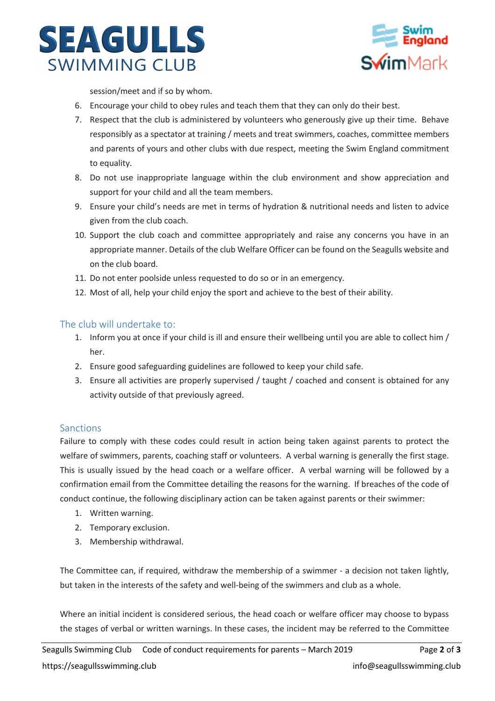



session/meet and if so by whom.

- 6. Encourage your child to obey rules and teach them that they can only do their best.
- 7. Respect that the club is administered by volunteers who generously give up their time. Behave responsibly as a spectator at training / meets and treat swimmers, coaches, committee members and parents of yours and other clubs with due respect, meeting the Swim England commitment to equality.
- 8. Do not use inappropriate language within the club environment and show appreciation and support for your child and all the team members.
- 9. Ensure your child's needs are met in terms of hydration & nutritional needs and listen to advice given from the club coach.
- 10. Support the club coach and committee appropriately and raise any concerns you have in an appropriate manner. Details of the club Welfare Officer can be found on the Seagulls website and on the club board.
- 11. Do not enter poolside unless requested to do so or in an emergency.
- 12. Most of all, help your child enjoy the sport and achieve to the best of their ability.

#### The club will undertake to:

- 1. Inform you at once if your child is ill and ensure their wellbeing until you are able to collect him / her.
- 2. Ensure good safeguarding guidelines are followed to keep your child safe.
- 3. Ensure all activities are properly supervised / taught / coached and consent is obtained for any activity outside of that previously agreed.

#### **Sanctions**

Failure to comply with these codes could result in action being taken against parents to protect the welfare of swimmers, parents, coaching staff or volunteers. A verbal warning is generally the first stage. This is usually issued by the head coach or a welfare officer. A verbal warning will be followed by a confirmation email from the Committee detailing the reasons for the warning. If breaches of the code of conduct continue, the following disciplinary action can be taken against parents or their swimmer:

- 1. Written warning.
- 2. Temporary exclusion.
- 3. Membership withdrawal.

The Committee can, if required, withdraw the membership of a swimmer - a decision not taken lightly, but taken in the interests of the safety and well-being of the swimmers and club as a whole.

Where an initial incident is considered serious, the head coach or welfare officer may choose to bypass the stages of verbal or written warnings. In these cases, the incident may be referred to the Committee